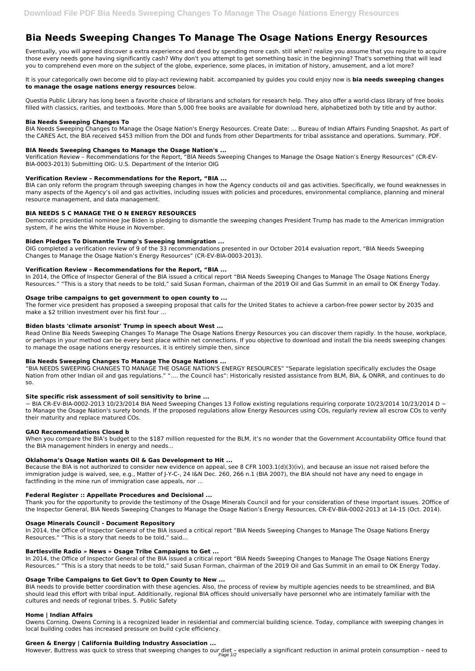# **Bia Needs Sweeping Changes To Manage The Osage Nations Energy Resources**

Eventually, you will agreed discover a extra experience and deed by spending more cash. still when? realize you assume that you require to acquire those every needs gone having significantly cash? Why don't you attempt to get something basic in the beginning? That's something that will lead you to comprehend even more on the subject of the globe, experience, some places, in imitation of history, amusement, and a lot more?

It is your categorically own become old to play-act reviewing habit. accompanied by guides you could enjoy now is **bia needs sweeping changes to manage the osage nations energy resources** below.

Questia Public Library has long been a favorite choice of librarians and scholars for research help. They also offer a world-class library of free books filled with classics, rarities, and textbooks. More than 5,000 free books are available for download here, alphabetized both by title and by author.

## **Bia Needs Sweeping Changes To**

BIA Needs Sweeping Changes to Manage the Osage Nation's Energy Resources. Create Date: ... Bureau of Indian Affairs Funding Snapshot. As part of the CARES Act, the BIA received \$453 million from the DOI and funds from other Departments for tribal assistance and operations. Summary. PDF.

## **BIA Needs Sweeping Changes to Manage the Osage Nation's ...**

Verification Review – Recommendations for the Report, "BIA Needs Sweeping Changes to Manage the Osage Nation's Energy Resources" (CR-EV-BIA-0003-2013) Submitting OIG: U.S. Department of the Interior OIG

## **Verification Review – Recommendations for the Report, "BIA ...**

BIA can only reform the program through sweeping changes in how the Agency conducts oil and gas activities. Specifically, we found weaknesses in many aspects of the Agency's oil and gas activities, including issues with policies and procedures, environmental compliance, planning and mineral resource management, and data management.

## **BIA NEEDS S C MANAGE THE O N ENERGY RESOURCES**

 $\sim$  BIA CR-EV-BIA-0002-2013 10/23/2014 BIA Need Sweeping Changes 13 Follow existing regulations requiring corporate 10/23/2014 10/23/2014 D  $\sim$ to Manage the Osage Nation's surety bonds. If the proposed regulations allow Energy Resources using COs, regularly review all escrow COs to verify their maturity and replace matured COs.

Democratic presidential nominee Joe Biden is pledging to dismantle the sweeping changes President Trump has made to the American immigration system, if he wins the White House in November.

## **Biden Pledges To Dismantle Trump's Sweeping Immigration ...**

OIG completed a verification review of 9 of the 33 recommendations presented in our October 2014 evaluation report, "BIA Needs Sweeping Changes to Manage the Osage Nation's Energy Resources" (CR-EV-BIA-0003-2013).

## **Verification Review – Recommendations for the Report, "BIA ...**

In 2014, the Office of Inspector General of the BIA issued a critical report "BIA Needs Sweeping Changes to Manage The Osage Nations Energy Resources." "This is a story that needs to be told," said Susan Forman, chairman of the 2019 Oil and Gas Summit in an email to OK Energy Today.

#### **Osage tribe campaigns to get government to open county to ...**

The former vice president has proposed a sweeping proposal that calls for the United States to achieve a carbon-free power sector by 2035 and make a \$2 trillion investment over his first four ...

#### **Biden blasts 'climate arsonist' Trump in speech about West ...**

Read Online Bia Needs Sweeping Changes To Manage The Osage Nations Energy Resources you can discover them rapidly. In the house, workplace, or perhaps in your method can be every best place within net connections. If you objective to download and install the bia needs sweeping changes to manage the osage nations energy resources, it is entirely simple then, since

#### **Bia Needs Sweeping Changes To Manage The Osage Nations ...**

"BIA NEEDS SWEEPING CHANGES TO MANAGE THE OSAGE NATION'S ENERGY RESOURCES" "Separate legislation specifically excludes the Osage Nation from other Indian oil and gas regulations." "…. the Council has": Historically resisted assistance from BLM, BIA, & ONRR, and continues to do so.

#### **Site specific risk assessment of soil sensitivity to brine ...**

#### **GAO Recommendations Closed b**

When you compare the BIA's budget to the \$187 million requested for the BLM, it's no wonder that the Government Accountability Office found that the BIA management hinders in energy and needs...

#### **Oklahoma's Osage Nation wants Oil & Gas Development to Hit ...**

Because the BIA is not authorized to consider new evidence on appeal, see 8 CFR 1003.1(d)(3)(iv), and because an issue not raised before the immigration judge is waived, see, e.g., Matter of J-Y-C-, 24 I&N Dec. 260, 266 n.1 (BIA 2007), the BIA should not have any need to engage in factfinding in the mine run of immigration case appeals, nor ...

#### **Federal Register :: Appellate Procedures and Decisional ...**

Thank you for the opportunity to provide the testimony of the Osage Minerals Council and for your consideration of these important issues. 2Office of

the Inspector General, BIA Needs Sweeping Changes to Manage the Osage Nation's Energy Resources, CR-EV-BIA-0002-2013 at 14-15 (Oct. 2014).

#### **Osage Minerals Council - Document Repository**

In 2014, the Office of Inspector General of the BIA issued a critical report "BIA Needs Sweeping Changes to Manage The Osage Nations Energy Resources." "This is a story that needs to be told," said...

#### **Bartlesville Radio » News » Osage Tribe Campaigns to Get ...**

In 2014, the Office of Inspector General of the BIA issued a critical report "BIA Needs Sweeping Changes to Manage The Osage Nations Energy Resources." "This is a story that needs to be told," said Susan Forman, chairman of the 2019 Oil and Gas Summit in an email to OK Energy Today.

## **Osage Tribe Campaigns to Get Gov't to Open County to New ...**

BIA needs to provide better coordination with these agencies. Also, the process of review by multiple agencies needs to be streamlined, and BIA should lead this effort with tribal input. Additionally, regional BIA offices should universally have personnel who are intimately familiar with the cultures and needs of regional tribes. 5. Public Safety

#### **Home | Indian Affairs**

Owens Corning. Owens Corning is a recognized leader in residential and commercial building science. Today, compliance with sweeping changes in local building codes has increased pressure on build cycle efficiency.

## **Green & Energy | California Building Industry Association ...**

However, Buttress was quick to stress that sweeping changes to our diet – especially a significant reduction in animal protein consumption – need to Page 1/2